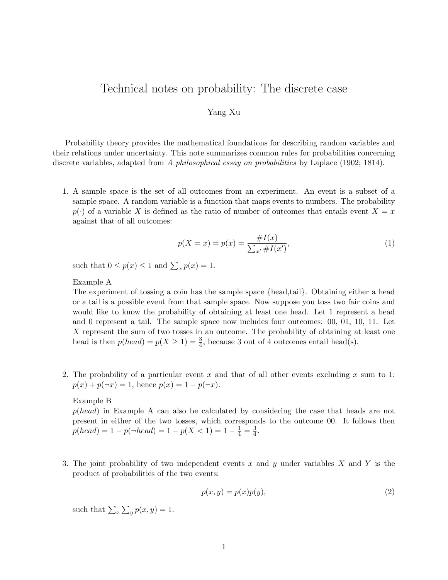## Technical notes on probability: The discrete case

## Yang Xu

Probability theory provides the mathematical foundations for describing random variables and their relations under uncertainty. This note summarizes common rules for probabilities concerning discrete variables, adapted from A philosophical essay on probabilities by Laplace (1902; 1814).

1. A sample space is the set of all outcomes from an experiment. An event is a subset of a sample space. A random variable is a function that maps events to numbers. The probability  $p(\cdot)$  of a variable X is defined as the ratio of number of outcomes that entails event  $X = x$ against that of all outcomes:

$$
p(X = x) = p(x) = \frac{\#I(x)}{\sum_{x'} \#I(x')},
$$
\n(1)

such that  $0 \le p(x) \le 1$  and  $\sum_{x} p(x) = 1$ .

Example A

The experiment of tossing a coin has the sample space {head,tail}. Obtaining either a head or a tail is a possible event from that sample space. Now suppose you toss two fair coins and would like to know the probability of obtaining at least one head. Let 1 represent a head and 0 represent a tail. The sample space now includes four outcomes: 00, 01, 10, 11. Let X represent the sum of two tosses in an outcome. The probability of obtaining at least one head is then  $p(head) = p(X \ge 1) = \frac{3}{4}$ , because 3 out of 4 outcomes entail head(s).

2. The probability of a particular event x and that of all other events excluding x sum to 1:  $p(x) + p(\neg x) = 1$ , hence  $p(x) = 1 - p(\neg x)$ .

## Example B

p(head) in Example A can also be calculated by considering the case that heads are not present in either of the two tosses, which corresponds to the outcome 00. It follows then  $p(head) = 1 - p(\neg head) = 1 - p(X < 1) = 1 - \frac{1}{4} = \frac{3}{4}$  $\frac{3}{4}$ .

3. The joint probability of two independent events x and y under variables X and Y is the product of probabilities of the two events:

$$
p(x, y) = p(x)p(y),\tag{2}
$$

such that  $\sum_{x} \sum_{y} p(x, y) = 1$ .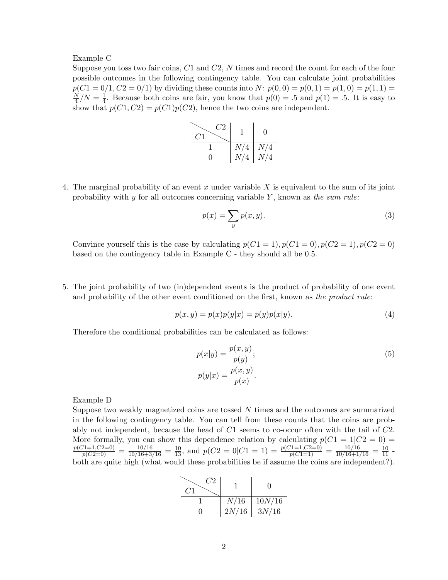Example C

Suppose you toss two fair coins, C1 and C2, N times and record the count for each of the four possible outcomes in the following contingency table. You can calculate joint probabilities  $p(C1 = 0/1, C2 = 0/1)$  by dividing these counts into N:  $p(0, 0) = p(0, 1) = p(1, 0) = p(1, 1) =$ N  $\frac{N}{4}$  /  $N=\frac{1}{4}$  $\frac{1}{4}$ . Because both coins are fair, you know that  $p(0) = .5$  and  $p(1) = .5$ . It is easy to show that  $p(C_1, C_2) = p(C_1)p(C_2)$ , hence the two coins are independent.

| $\mathit{C}2$<br>CT |     | $\mathbf{\Omega}$ |
|---------------------|-----|-------------------|
|                     | N/4 | N/4               |
|                     | N/4 | N/4               |

4. The marginal probability of an event x under variable X is equivalent to the sum of its joint probability with  $y$  for all outcomes concerning variable  $Y$ , known as the sum rule:

$$
p(x) = \sum_{y} p(x, y). \tag{3}
$$

Convince yourself this is the case by calculating  $p(C1 = 1), p(C1 = 0), p(C2 = 1), p(C2 = 0)$ based on the contingency table in Example C - they should all be 0.5.

5. The joint probability of two (in)dependent events is the product of probability of one event and probability of the other event conditioned on the first, known as the product rule:

$$
p(x, y) = p(x)p(y|x) = p(y)p(x|y).
$$
\n(4)

Therefore the conditional probabilities can be calculated as follows:

$$
p(x|y) = \frac{p(x,y)}{p(y)};
$$
  
\n
$$
p(y|x) = \frac{p(x,y)}{p(x)}.
$$
\n(5)

Example D

Suppose two weakly magnetized coins are tossed  $N$  times and the outcomes are summarized in the following contingency table. You can tell from these counts that the coins are probably not independent, because the head of  $C1$  seems to co-occur often with the tail of  $C2$ . More formally, you can show this dependence relation by calculating  $p(C1 = 1|C2 = 0)$  $\frac{p(C1=1,C2=0)}{p(C2=0)} = \frac{10/16}{10/16+3/16} = \frac{10}{13}$ , and  $p(C2=0|C1=1) = \frac{p(C1=1,C2=0)}{p(C1=1)} = \frac{10/16}{10/16+1/16} = \frac{10}{11}$ both are quite high (what would these probabilities be if assume the coins are independent?).

| C2<br>CT |       |        |
|----------|-------|--------|
|          | N/16  | 10N/16 |
|          | 2N/16 | 3N/16  |